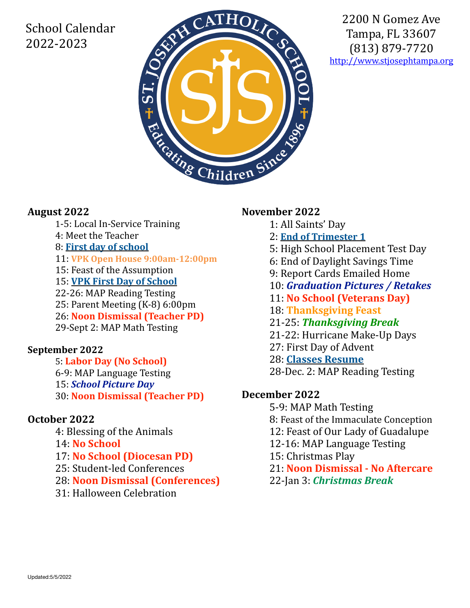# School Calendar 2022-2023



2200 N Gomez Ave Tampa, FL 33607 (813) 879-7720 <http://www.stjosephtampa.org>

# **August 2022**

- 1-5: Local In-Service Training
- 4: Meet the Teacher
- 8: **First day of school**
- 11: **VPK Open House 9:00am-12:00pm**
- 15: Feast of the Assumption
- 15: **VPK First Day of School**
- 22-26: MAP Reading Testing
- 25: Parent Meeting (K-8) 6:00pm
- 26: **Noon Dismissal (Teacher PD)**
- 29-Sept 2: MAP Math Testing

# **September 2022**

 5: **Labor Day (No School)** 6-9: MAP Language Testing 15: **School Picture Day** 30: **Noon Dismissal (Teacher PD)**

# **October 2022**

4: Blessing of the Animals 14: **No School** 17: **No School (Diocesan PD)** 25: Student-led Conferences 28: **Noon Dismissal (Conferences)** 31: Halloween Celebration

# **November 2022**

- 1: All Saints' Day
	- 2: **End of Trimester 1**
	- 5: High School Placement Test Day
	- 6: End of Daylight Savings Time
- 9: Report Cards Emailed Home
- 10: *Graduation Pictures / Retakes*
- 11: **No School (Veterans Day)**
- 18: **Thanksgiving Feast**
- 21-25: *Thanksgiving Break*
- 21-22: Hurricane Make-Up Days
- 27: First Day of Advent
- 28: **Classes Resume**
- 28-Dec. 2: MAP Reading Testing

# **December 2022**

5-9: MAP Math Testing 8: Feast of the Immaculate Conception 12: Feast of Our Lady of Guadalupe 12-16: MAP Language Testing 15: Christmas Play 21: **Noon Dismissal - No Aftercare** 22-Jan 3: *Christmas Break*